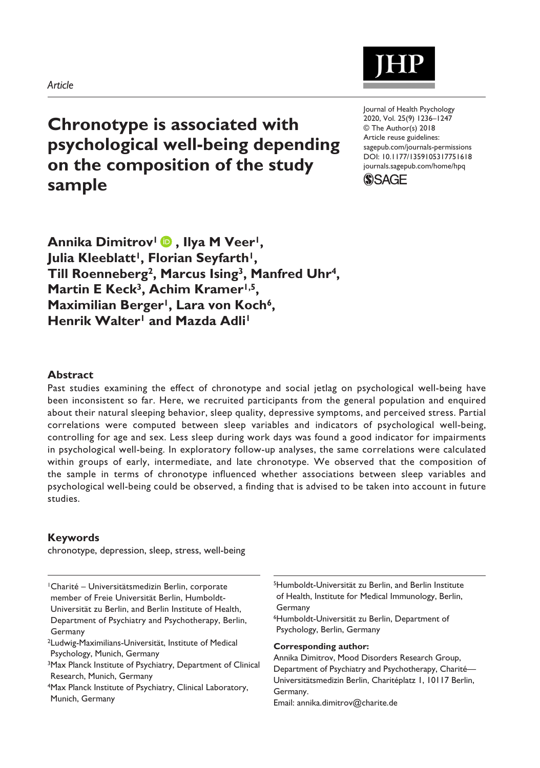### *Article*

# **Chronotype is associated with psychological well-being depending on the composition of the study sample**

DOI: 10.1177/1359105317751618 Journal of Health Psychology 2020, Vol. 25(9) 1236–1247 © The Author(s) 2018 Article reuse guidelines: [sagepub.com/journals-permissions](https://uk.sagepub.com/en-gb/journals-permissions) [journals.sagepub.com/home/hpq](https://journals.sagepub.com/home/hpq)



**Annika Dimitrov<sup>1</sup> <b>D**, Ilya M Veer<sup>1</sup>, Julia Kleeblatt<sup>1</sup>, Florian Seyfarth<sup>1</sup>, **Till Roenneberg2, Marcus Ising3, Manfred Uhr4,**  Martin **E** Keck<sup>3</sup>, Achim Kramer<sup>1,5</sup>, Maximilian Berger<sup>1</sup>, Lara von Koch<sup>6</sup>, **Henrik Walter1 and Mazda Adli1**

### **Abstract**

Past studies examining the effect of chronotype and social jetlag on psychological well-being have been inconsistent so far. Here, we recruited participants from the general population and enquired about their natural sleeping behavior, sleep quality, depressive symptoms, and perceived stress. Partial correlations were computed between sleep variables and indicators of psychological well-being, controlling for age and sex. Less sleep during work days was found a good indicator for impairments in psychological well-being. In exploratory follow-up analyses, the same correlations were calculated within groups of early, intermediate, and late chronotype. We observed that the composition of the sample in terms of chronotype influenced whether associations between sleep variables and psychological well-being could be observed, a finding that is advised to be taken into account in future studies.

### **Keywords**

chronotype, depression, sleep, stress, well-being

1Charité – Universitätsmedizin Berlin, corporate member of Freie Universität Berlin, Humboldt-Universität zu Berlin, and Berlin Institute of Health, Department of Psychiatry and Psychotherapy, Berlin, Germany

2Ludwig-Maximilians-Universität, Institute of Medical Psychology, Munich, Germany

3Max Planck Institute of Psychiatry, Department of Clinical Research, Munich, Germany

4Max Planck Institute of Psychiatry, Clinical Laboratory, Munich, Germany

5Humboldt-Universität zu Berlin, and Berlin Institute of Health, Institute for Medical Immunology, Berlin, Germany

6Humboldt-Universität zu Berlin, Department of Psychology, Berlin, Germany

**Corresponding author:**

Annika Dimitrov, Mood Disorders Research Group, Department of Psychiatry and Psychotherapy, Charité— Universitätsmedizin Berlin, Charitéplatz 1, 10117 Berlin, Germany.

Email: [annika.dimitrov@charite.de](mailto:annika.dimitrov@charite.de)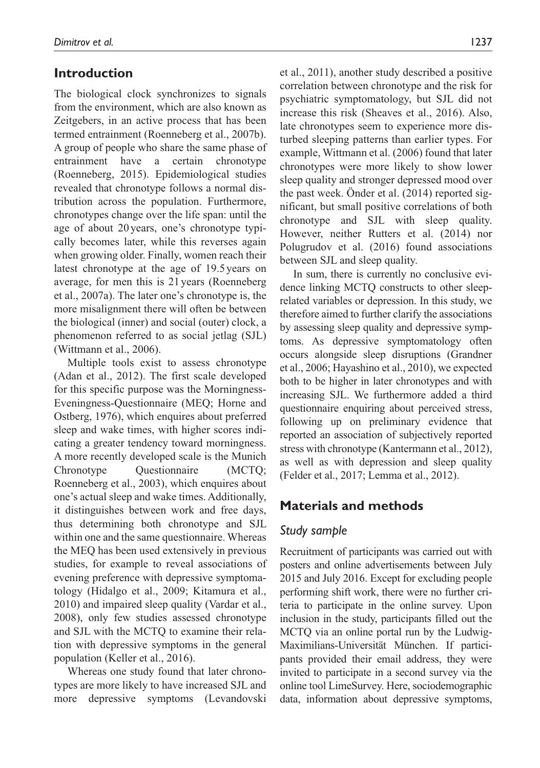# **Introduction**

The biological clock synchronizes to signals from the environment, which are also known as Zeitgebers, in an active process that has been termed entrainment (Roenneberg et al., 2007b). A group of people who share the same phase of entrainment have a certain chronotype (Roenneberg, 2015). Epidemiological studies revealed that chronotype follows a normal distribution across the population. Furthermore, chronotypes change over the life span: until the age of about 20 years, one's chronotype typically becomes later, while this reverses again when growing older. Finally, women reach their latest chronotype at the age of 19.5years on average, for men this is 21years (Roenneberg et al., 2007a). The later one's chronotype is, the more misalignment there will often be between the biological (inner) and social (outer) clock, a phenomenon referred to as social jetlag (SJL) (Wittmann et al., 2006).

Multiple tools exist to assess chronotype (Adan et al., 2012). The first scale developed for this specific purpose was the Morningness-Eveningness-Questionnaire (MEQ; Horne and Ostberg, 1976), which enquires about preferred sleep and wake times, with higher scores indicating a greater tendency toward morningness. A more recently developed scale is the Munich Chronotype Questionnaire (MCTQ; Roenneberg et al., 2003), which enquires about one's actual sleep and wake times. Additionally, it distinguishes between work and free days, thus determining both chronotype and SJL within one and the same questionnaire. Whereas the MEQ has been used extensively in previous studies, for example to reveal associations of evening preference with depressive symptomatology (Hidalgo et al., 2009; Kitamura et al., 2010) and impaired sleep quality (Vardar et al., 2008), only few studies assessed chronotype and SJL with the MCTQ to examine their relation with depressive symptoms in the general population (Keller et al., 2016).

Whereas one study found that later chronotypes are more likely to have increased SJL and more depressive symptoms (Levandovski

et al., 2011), another study described a positive correlation between chronotype and the risk for psychiatric symptomatology, but SJL did not increase this risk (Sheaves et al., 2016). Also, late chronotypes seem to experience more disturbed sleeping patterns than earlier types. For example, Wittmann et al. (2006) found that later chronotypes were more likely to show lower sleep quality and stronger depressed mood over the past week. Önder et al. (2014) reported significant, but small positive correlations of both chronotype and SJL with sleep quality. However, neither Rutters et al. (2014) nor Polugrudov et al. (2016) found associations between SJL and sleep quality.

In sum, there is currently no conclusive evidence linking MCTQ constructs to other sleeprelated variables or depression. In this study, we therefore aimed to further clarify the associations by assessing sleep quality and depressive symptoms. As depressive symptomatology often occurs alongside sleep disruptions (Grandner et al., 2006; Hayashino et al., 2010), we expected both to be higher in later chronotypes and with increasing SJL. We furthermore added a third questionnaire enquiring about perceived stress, following up on preliminary evidence that reported an association of subjectively reported stress with chronotype (Kantermann et al., 2012), as well as with depression and sleep quality (Felder et al., 2017; Lemma et al., 2012).

# **Materials and methods**

# *Study sample*

Recruitment of participants was carried out with posters and online advertisements between July 2015 and July 2016. Except for excluding people performing shift work, there were no further criteria to participate in the online survey. Upon inclusion in the study, participants filled out the MCTQ via an online portal run by the Ludwig-Maximilians-Universität München. If participants provided their email address, they were invited to participate in a second survey via the online tool LimeSurvey. Here, sociodemographic data, information about depressive symptoms,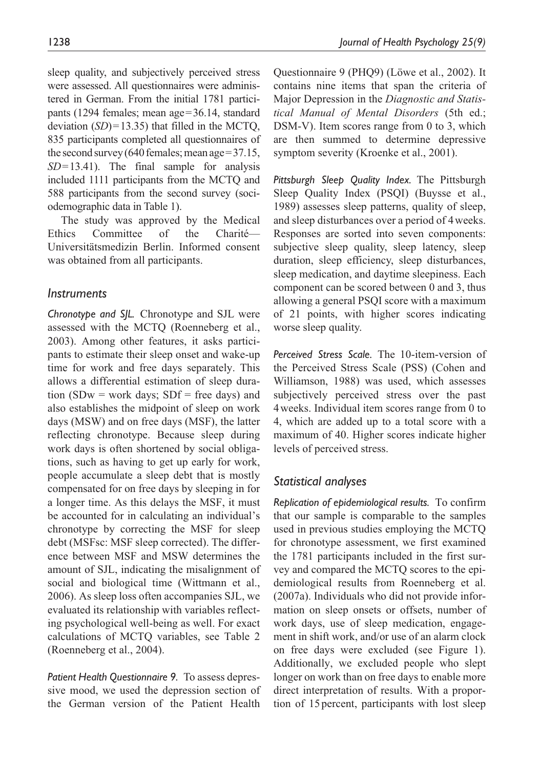sleep quality, and subjectively perceived stress were assessed. All questionnaires were administered in German. From the initial 1781 participants (1294 females; mean age=36.14, standard deviation (*SD*)=13.35) that filled in the MCTQ, 835 participants completed all questionnaires of the second survey (640 females; mean age=37.15, *SD*=13.41). The final sample for analysis

included 1111 participants from the MCTQ and 588 participants from the second survey (sociodemographic data in Table 1). The study was approved by the Medical

Ethics Committee of the Charité— Universitätsmedizin Berlin. Informed consent was obtained from all participants.

# *Instruments*

*Chronotype and SJL.* Chronotype and SJL were assessed with the MCTQ (Roenneberg et al., 2003). Among other features, it asks participants to estimate their sleep onset and wake-up time for work and free days separately. This allows a differential estimation of sleep duration (SDw = work days; SDf = free days) and also establishes the midpoint of sleep on work days (MSW) and on free days (MSF), the latter reflecting chronotype. Because sleep during work days is often shortened by social obligations, such as having to get up early for work, people accumulate a sleep debt that is mostly compensated for on free days by sleeping in for a longer time. As this delays the MSF, it must be accounted for in calculating an individual's chronotype by correcting the MSF for sleep debt (MSFsc: MSF sleep corrected). The difference between MSF and MSW determines the amount of SJL, indicating the misalignment of social and biological time (Wittmann et al., 2006). As sleep loss often accompanies SJL, we evaluated its relationship with variables reflecting psychological well-being as well. For exact calculations of MCTQ variables, see Table 2 (Roenneberg et al., 2004).

*Patient Health Questionnaire 9.* To assess depressive mood, we used the depression section of the German version of the Patient Health

Questionnaire 9 (PHQ9) (Löwe et al., 2002). It contains nine items that span the criteria of Major Depression in the *Diagnostic and Statistical Manual of Mental Disorders* (5th ed.; DSM-V). Item scores range from 0 to 3, which are then summed to determine depressive symptom severity (Kroenke et al., 2001).

*Pittsburgh Sleep Quality Index.* The Pittsburgh Sleep Quality Index (PSQI) (Buysse et al., 1989) assesses sleep patterns, quality of sleep, and sleep disturbances over a period of 4weeks. Responses are sorted into seven components: subjective sleep quality, sleep latency, sleep duration, sleep efficiency, sleep disturbances, sleep medication, and daytime sleepiness. Each component can be scored between 0 and 3, thus allowing a general PSQI score with a maximum of 21 points, with higher scores indicating worse sleep quality.

*Perceived Stress Scale.* The 10-item-version of the Perceived Stress Scale (PSS) (Cohen and Williamson, 1988) was used, which assesses subjectively perceived stress over the past 4weeks. Individual item scores range from 0 to 4, which are added up to a total score with a maximum of 40. Higher scores indicate higher levels of perceived stress.

# *Statistical analyses*

*Replication of epidemiological results.* To confirm that our sample is comparable to the samples used in previous studies employing the MCTQ for chronotype assessment, we first examined the 1781 participants included in the first survey and compared the MCTQ scores to the epidemiological results from Roenneberg et al. (2007a). Individuals who did not provide information on sleep onsets or offsets, number of work days, use of sleep medication, engagement in shift work, and/or use of an alarm clock on free days were excluded (see Figure 1). Additionally, we excluded people who slept longer on work than on free days to enable more direct interpretation of results. With a proportion of 15percent, participants with lost sleep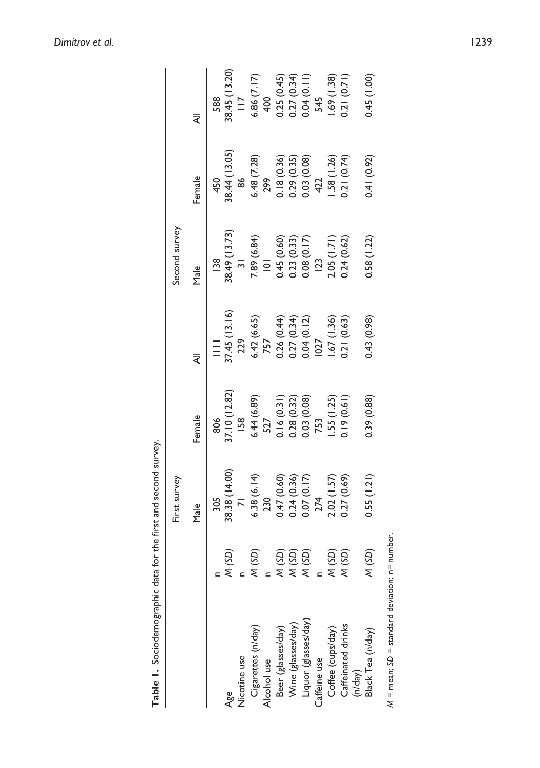|                              |                 | First survey   |                              |                                             | Second survey  |             |               |
|------------------------------|-----------------|----------------|------------------------------|---------------------------------------------|----------------|-------------|---------------|
|                              |                 | Male           | Female                       |                                             | Male           | Female      | ₹             |
|                              |                 | 305            | 806                          | $\equiv$                                    | <b>138</b>     | 450         | 588           |
| Age                          | (SD)            | 38.38 (14.00)  | 87.10 (12.82)                | 17.45(13.16)                                | 88.49 (13.73)  | 8.44(13.05) | 88.45 (13.20) |
| <b>Nicotine</b> use          |                 | $\overline{7}$ | <b>158</b>                   | 229                                         | $\overline{3}$ | 86          | $\frac{1}{2}$ |
| Cigarettes (n/day)           | $\widetilde{S}$ | 6.38(6.14)     | 6.44(6.89)                   | 6.42(6.65)                                  | 7.89 (6.84)    | 6.48 (7.28) | 6.86 (7.17)   |
| Alcohol use                  |                 | 230            | 527                          | 757                                         | $\overline{a}$ | 299         | 400           |
| Beer (glasses/day)           | (SD)            | $(0.60)$ 74.   |                              |                                             | 0.45 (0.60)    | 0.18(0.36)  | 0.25(0.45)    |
| Wine (glasses/day)           | (SD)            | 0.24(0.36)     | $0.16(0.31)$<br>$0.28(0.32)$ | $0.26$ (0.44)<br>0.27 (0.34)<br>0.04 (0.12) | 0.23(0.33)     | 0.29(0.35)  | 0.27(0.34)    |
| Liquor (glasses/day)         | (SD)            | 0.07(0.17)     | 0.03 (0.08)                  |                                             | 0.08(0.17)     | 0.03 (0.08) | 0.04(0.11)    |
| Caffeine use                 |                 | 274            | 753                          | 027                                         | 123            | 422         | 545           |
| Coffee (cups/day)            | (5D)            | 2.02(1.57)     | 1.55(1.25)                   | 1.67(1.36)                                  | 2.05(1.71)     | $-58(1.26)$ | .69(1.38)     |
| Caffeinated drinks           | (SD)            | 0.27 (0.69)    | 0.19(0.61)                   | 0.21(0.63)                                  | 0.24(0.62)     | 3.21(0.74)  | 0.71(0.71)    |
| Black Tea (n/day)<br>(h/day) | (SD)            | 0.55(1.21)     | 0.39 (0.88)                  | 0.43(0.98)                                  | 0.58(1.22)     | 0.41(0.92)  | 0.45(1.00)    |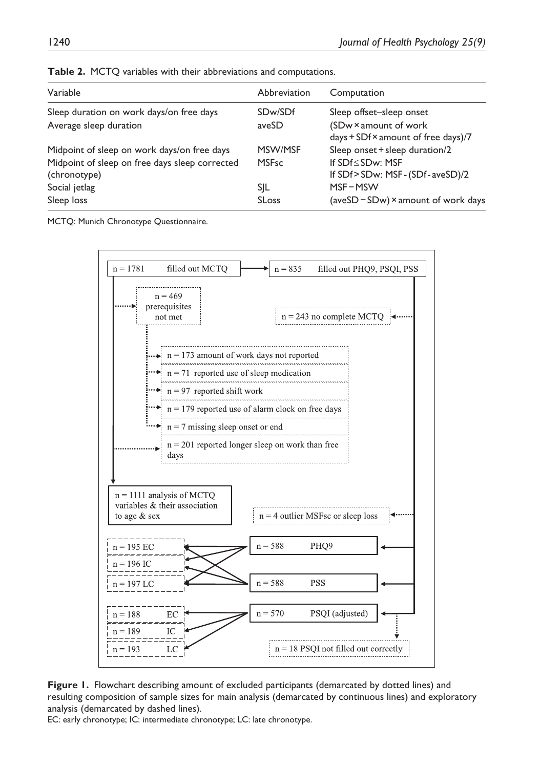| Variable                                                           | Abbreviation     | Computation                                                                              |
|--------------------------------------------------------------------|------------------|------------------------------------------------------------------------------------------|
| Sleep duration on work days/on free days<br>Average sleep duration | SDw/SDf<br>aveSD | Sleep offset-sleep onset<br>(SDw × amount of work<br>days + SDf × amount of free days)/7 |
| Midpoint of sleep on work days/on free days                        | MSW/MSF          | Sleep onset + sleep duration/2                                                           |
| Midpoint of sleep on free days sleep corrected<br>(chronotype)     | <b>MSFsc</b>     | If SDf < SDw: MSF<br>If SDf>SDw: MSF-(SDf-aveSD)/2                                       |
| Social jetlag                                                      | SIL              | $MSF - MSW$                                                                              |
| Sleep loss                                                         | <b>SLoss</b>     | (aveSD – SDw) $\times$ amount of work days                                               |

**Table 2.** MCTQ variables with their abbreviations and computations.

MCTQ: Munich Chronotype Questionnaire.



**Figure 1.** Flowchart describing amount of excluded participants (demarcated by dotted lines) and resulting composition of sample sizes for main analysis (demarcated by continuous lines) and exploratory analysis (demarcated by dashed lines).

EC: early chronotype; IC: intermediate chronotype; LC: late chronotype.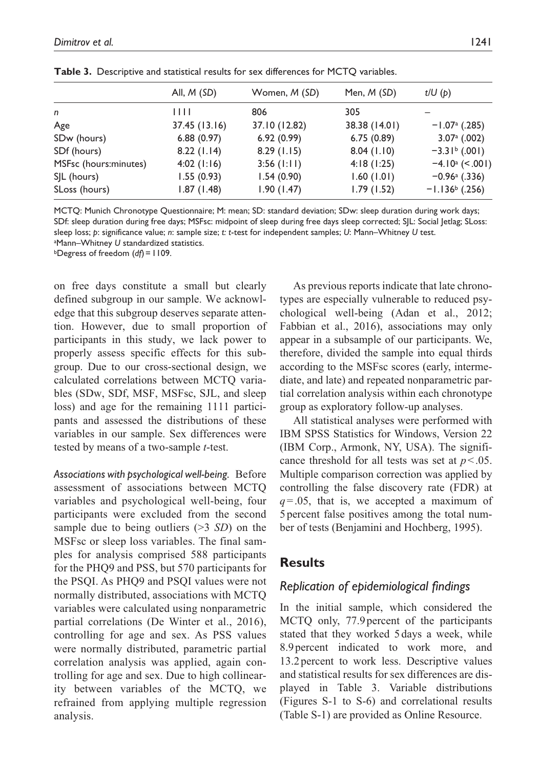|                       | All, $M(SD)$   | Women, M (SD) | Men, M (SD)   | t/U(p)                      |
|-----------------------|----------------|---------------|---------------|-----------------------------|
| n                     | $\blacksquare$ | 806           | 305           |                             |
| Age                   | 37.45(13.16)   | 37.10 (12.82) | 38.38 (14.01) | $-1.07a$ (.285)             |
| SDw (hours)           | 6.88(0.97)     | 6.92(0.99)    | 6.75(0.89)    | $3.07a$ (.002)              |
| SDf (hours)           | 8.22(1.14)     | 8.29(1.15)    | 8.04(1.10)    | $-3.31b$ (.001)             |
| MSFsc (hours:minutes) | $4:02$ (1:16)  | $3:56$ (1:11) | 4:18(1:25)    | $-4.10^{\circ}$ (<.001)     |
| SJL (hours)           | 1.55(0.93)     | 1.54(0.90)    | 1.60(1.01)    | $-0.96$ <sup>a</sup> (.336) |
| SLoss (hours)         | 1.87(1.48)     | 1.90(1.47)    | 1.79(1.52)    | $-1.136b$ (.256)            |
|                       |                |               |               |                             |

**Table 3.** Descriptive and statistical results for sex differences for MCTQ variables.

MCTQ: Munich Chronotype Questionnaire; M: mean; SD: standard deviation; SDw: sleep duration during work days; SDf: sleep duration during free days; MSFsc: midpoint of sleep during free days sleep corrected; SJL: Social Jetlag; SLoss: sleep loss; *p*: significance value; *n*: sample size; *t: t*-test for independent samples; *U*: Mann–Whitney *U* test.

a Mann–Whitney *U* standardized statistics. bDegress of freedom (*df*)=1109.

on free days constitute a small but clearly defined subgroup in our sample. We acknowledge that this subgroup deserves separate attention. However, due to small proportion of participants in this study, we lack power to properly assess specific effects for this subgroup. Due to our cross-sectional design, we calculated correlations between MCTQ variables (SDw, SDf, MSF, MSFsc, SJL, and sleep loss) and age for the remaining 1111 participants and assessed the distributions of these variables in our sample. Sex differences were tested by means of a two-sample *t*-test.

*Associations with psychological well-being.* Before assessment of associations between MCTQ variables and psychological well-being, four participants were excluded from the second sample due to being outliers (>3 *SD*) on the MSFsc or sleep loss variables. The final samples for analysis comprised 588 participants for the PHQ9 and PSS, but 570 participants for the PSQI. As PHQ9 and PSQI values were not normally distributed, associations with MCTQ variables were calculated using nonparametric partial correlations (De Winter et al., 2016), controlling for age and sex. As PSS values were normally distributed, parametric partial correlation analysis was applied, again controlling for age and sex. Due to high collinearity between variables of the MCTQ, we refrained from applying multiple regression analysis.

As previous reports indicate that late chronotypes are especially vulnerable to reduced psychological well-being (Adan et al., 2012; Fabbian et al., 2016), associations may only appear in a subsample of our participants. We, therefore, divided the sample into equal thirds according to the MSFsc scores (early, intermediate, and late) and repeated nonparametric partial correlation analysis within each chronotype group as exploratory follow-up analyses.

All statistical analyses were performed with IBM SPSS Statistics for Windows, Version 22 (IBM Corp., Armonk, NY, USA). The significance threshold for all tests was set at *p*<.05. Multiple comparison correction was applied by controlling the false discovery rate (FDR) at *q*=.05, that is, we accepted a maximum of 5 percent false positives among the total number of tests (Benjamini and Hochberg, 1995).

# **Results**

# *Replication of epidemiological findings*

In the initial sample, which considered the MCTQ only, 77.9percent of the participants stated that they worked 5 days a week, while 8.9percent indicated to work more, and 13.2percent to work less. Descriptive values and statistical results for sex differences are displayed in Table 3. Variable distributions (Figures S-1 to S-6) and correlational results (Table S-1) are provided as Online Resource.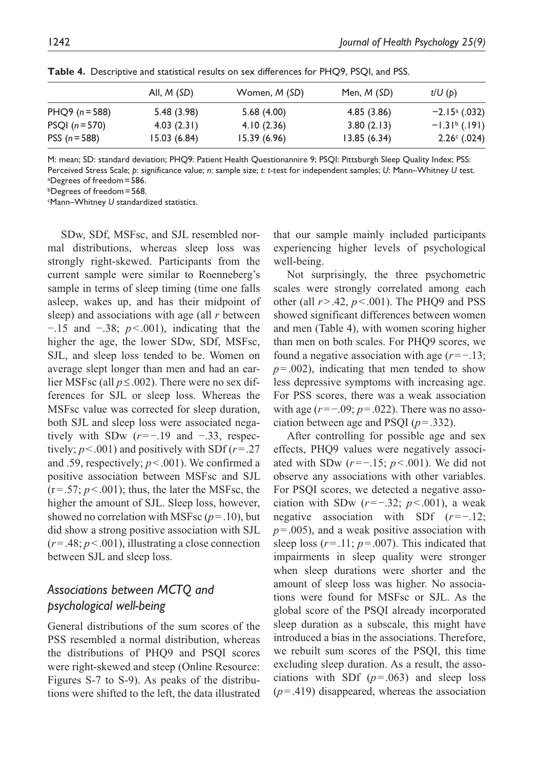|                  | All, $M(SD)$ | Women, <i>M</i> (SD) | Men, <i>M</i> (SD) | t/U(p)                 |
|------------------|--------------|----------------------|--------------------|------------------------|
| $PHQ9 (n=588)$   | 5.48 (3.98)  | 5.68(4.00)           | 4.85(3.86)         | $-2.15^{\circ}$ (.032) |
| $PSQI (n = 570)$ | 4.03(2.31)   | 4.10(2.36)           | 3.80(2.13)         | $-1.31b$ (.191)        |
| PSS $(n = 588)$  | 15.03(6.84)  | 15.39(6.96)          | 13.85(6.34)        | $2.26^{\circ}$ (.024)  |

**Table 4.** Descriptive and statistical results on sex differences for PHQ9, PSQI, and PSS.

M: mean; SD: standard deviation; PHQ9: Patient Health Questionannire 9; PSQI: Pittsburgh Sleep Quality Index; PSS: Perceived Stress Scale; *p*: significance value; *n*: sample size; *t: t*-test for independent samples; *U*: Mann–Whitney *U* test. a Degrees of freedom=586.

bDegrees of freedom=568.

cMann–Whitney *U* standardized statistics.

SDw, SDf, MSFsc, and SJL resembled normal distributions, whereas sleep loss was strongly right-skewed. Participants from the current sample were similar to Roenneberg's sample in terms of sleep timing (time one falls asleep, wakes up, and has their midpoint of sleep) and associations with age (all *r* between −.15 and −.38; *p*<.001), indicating that the higher the age, the lower SDw, SDf, MSFsc, SJL, and sleep loss tended to be. Women on average slept longer than men and had an earlier MSFsc (all *p*≤.002). There were no sex differences for SJL or sleep loss. Whereas the MSFsc value was corrected for sleep duration, both SJL and sleep loss were associated negatively with SDw (*r*=−.19 and −.33, respectively;  $p < .001$ ) and positively with SDf ( $r = .27$ ) and .59, respectively; *p*<.001). We confirmed a positive association between MSFsc and SJL  $(r=.57; p<.001)$ ; thus, the later the MSFsc, the higher the amount of SJL. Sleep loss, however, showed no correlation with MSFsc  $(p=.10)$ , but did show a strong positive association with SJL  $(r=.48; p<.001)$ , illustrating a close connection between SJL and sleep loss.

# *Associations between MCTQ and psychological well-being*

General distributions of the sum scores of the PSS resembled a normal distribution, whereas the distributions of PHQ9 and PSQI scores were right-skewed and steep (Online Resource: Figures S-7 to S-9). As peaks of the distributions were shifted to the left, the data illustrated

that our sample mainly included participants experiencing higher levels of psychological well-being.

Not surprisingly, the three psychometric scales were strongly correlated among each other (all *r*>.42, *p*<.001). The PHQ9 and PSS showed significant differences between women and men (Table 4), with women scoring higher than men on both scales. For PHQ9 scores, we found a negative association with age (*r*=−.13;  $p = .002$ ), indicating that men tended to show less depressive symptoms with increasing age. For PSS scores, there was a weak association with age (*r*=−.09; *p*=.022). There was no association between age and PSQI  $(p=.332)$ .

After controlling for possible age and sex effects, PHQ9 values were negatively associated with SDw (*r*=−.15; *p*<.001). We did not observe any associations with other variables. For PSQI scores, we detected a negative association with SDw (*r*=−.32; *p*<.001), a weak negative association with SDf (*r*=−.12; *p*=.005), and a weak positive association with sleep loss  $(r=.11; p=.007)$ . This indicated that impairments in sleep quality were stronger when sleep durations were shorter and the amount of sleep loss was higher. No associations were found for MSFsc or SJL. As the global score of the PSQI already incorporated sleep duration as a subscale, this might have introduced a bias in the associations. Therefore, we rebuilt sum scores of the PSQI, this time excluding sleep duration. As a result, the associations with SDf  $(p=.063)$  and sleep loss (*p*=.419) disappeared, whereas the association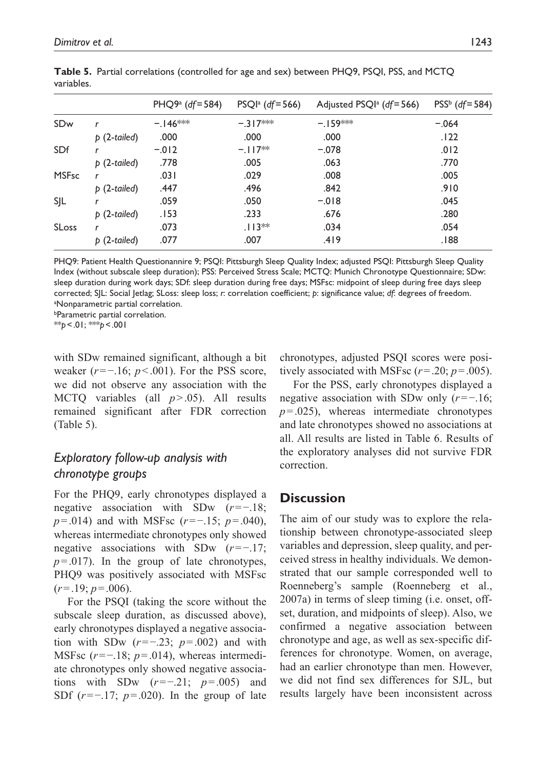|                          | $PHQ9a$ (df = 584) | $PSQIa$ (df = 566) | Adjusted PSQI <sup>a</sup> ( $df = 566$ ) | $PSS^b$ (df=584) |
|--------------------------|--------------------|--------------------|-------------------------------------------|------------------|
| r                        | $-.146***$         | $-.317***$         | $-159***$                                 | $-.064$          |
| $p(2-tailed)$            | .000               | .000               | .000                                      | .122             |
| r                        | $-.012$            | $-.117**$          | $-.078$                                   | .012             |
| $p(2-tailed)$            | .778               | .005               | .063                                      | .770             |
| r                        | .031               | .029               | .008                                      | .005             |
| $p(2-tailed)$            | .447               | .496               | .842                                      | .910             |
|                          | .059               | .050               | $-.018$                                   | .045             |
| $\mathfrak b$ (2-tailed) | .153               | .233               | .676                                      | .280             |
| r                        | .073               | $.113**$           | .034                                      | .054             |
| $p(2-tailed)$            | .077               | .007               | .419                                      | .188             |
|                          |                    |                    |                                           |                  |

**Table 5.** Partial correlations (controlled for age and sex) between PHO9, PSOI, PSS, and MCTO variables.

PHQ9: Patient Health Questionannire 9; PSQI: Pittsburgh Sleep Quality Index; adjusted PSQI: Pittsburgh Sleep Quality Index (without subscale sleep duration); PSS: Perceived Stress Scale; MCTQ: Munich Chronotype Questionnaire; SDw: sleep duration during work days; SDf: sleep duration during free days; MSFsc: midpoint of sleep during free days sleep corrected; SJL: Social Jetlag; SLoss: sleep loss; *r*: correlation coefficient; *p*: significance value; *df*: degrees of freedom. a Nonparametric partial correlation.

bParametric partial correlation.

\*\**p*<.01; \*\*\**p*<.001

with SDw remained significant, although a bit weaker (*r*=−.16; *p*<.001). For the PSS score, we did not observe any association with the MCTQ variables (all *p*>.05). All results remained significant after FDR correction (Table 5).

# *Exploratory follow-up analysis with chronotype groups*

For the PHQ9, early chronotypes displayed a negative association with SDw (*r*=−.18; *p*=.014) and with MSFsc (*r*=−.15; *p*=.040), whereas intermediate chronotypes only showed negative associations with SDw (*r*=−.17;  $p = .017$ ). In the group of late chronotypes, PHQ9 was positively associated with MSFsc  $(r=.19; p=.006)$ .

For the PSQI (taking the score without the subscale sleep duration, as discussed above), early chronotypes displayed a negative association with SDw (*r*=−.23; *p*=.002) and with MSFsc (*r*=−.18; *p*=.014), whereas intermediate chronotypes only showed negative associations with SDw (*r*=−.21; *p*=.005) and SDf (*r*=−.17; *p*=.020). In the group of late chronotypes, adjusted PSQI scores were positively associated with MSFsc  $(r=.20; p=.005)$ .

For the PSS, early chronotypes displayed a negative association with SDw only (*r*=−.16;  $p = .025$ ), whereas intermediate chronotypes and late chronotypes showed no associations at all. All results are listed in Table 6. Results of the exploratory analyses did not survive FDR correction.

# **Discussion**

The aim of our study was to explore the relationship between chronotype-associated sleep variables and depression, sleep quality, and perceived stress in healthy individuals. We demonstrated that our sample corresponded well to Roenneberg's sample (Roenneberg et al., 2007a) in terms of sleep timing (i.e. onset, offset, duration, and midpoints of sleep). Also, we confirmed a negative association between chronotype and age, as well as sex-specific differences for chronotype. Women, on average, had an earlier chronotype than men. However, we did not find sex differences for SJL, but results largely have been inconsistent across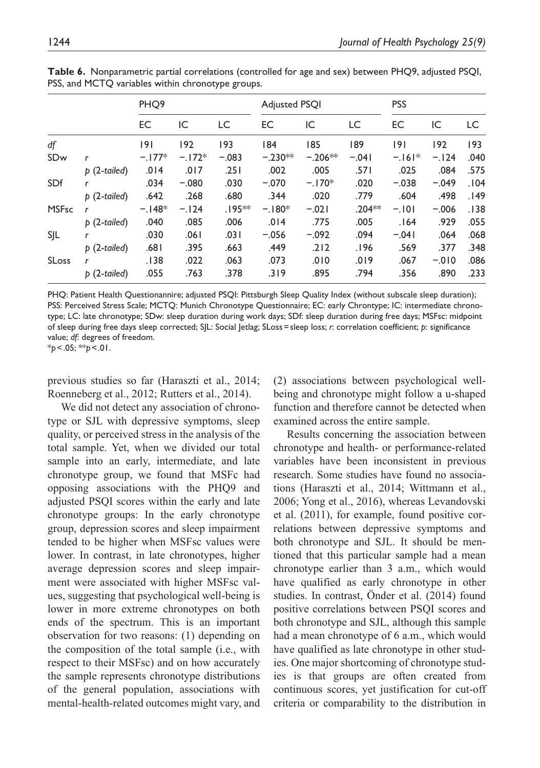|--|--|--|--|--|

|              |               | PHO <sub>9</sub> |          |           | <b>Adjusted PSOI</b> |           |          | <b>PSS</b> |          |      |
|--------------|---------------|------------------|----------|-----------|----------------------|-----------|----------|------------|----------|------|
|              |               | EC               | IC       | LC        | EC                   | IC        | LC       | <b>EC</b>  | IC       | LC.  |
| df           |               | 9                | 192      | 193       | 184                  | 185       | 189      | 191        | 192      | 193  |
| SDw          | r             | $-.177*$         | $-.172*$ | $-.083$   | $-.230**$            | $-.206**$ | $-.041$  | $-.161*$   | $-.124$  | .040 |
|              | $p(2-tailed)$ | .014             | .017     | .251      | .002                 | .005      | .571     | .025       | .084     | .575 |
| SDf          | r             | .034             | $-.080$  | .030      | $-.070$              | $-.170*$  | .020     | $-.038$    | $-.049$  | .104 |
|              | $p(2-tailed)$ | .642             | .268     | .680      | .344                 | .020      | .779     | .604       | .498     | .149 |
| <b>MSFsc</b> | r             | $-.148*$         | $-.124$  | $.195***$ | $-.180*$             | $-.021$   | $.204**$ | $-.101$    | $-.006$  | .138 |
|              | $p(2-tailed)$ | .040             | .085     | .006      | .014                 | .775      | .005     | .164       | .929     | .055 |
| SJL          | r             | .030             | .061     | .031      | $-.056$              | $-.092$   | .094     | $-.041$    | .064     | .068 |
|              | $p(2-tailed)$ | .681             | .395     | .663      | .449                 | .212      | .196     | .569       | .377     | .348 |
| <b>SLoss</b> | r             | .138             | .022     | .063      | .073                 | .010      | .019     | .067       | $-0.010$ | .086 |
|              | $p(2-tailed)$ | .055             | .763     | .378      | .319                 | .895      | .794     | .356       | .890     | .233 |

**Table 6.** Nonparametric partial correlations (controlled for age and sex) between PHQ9, adjusted PSQI, PSS, and MCTO variables within chronotype groups.

PHQ: Patient Health Questionannire; adjusted PSQI: Pittsburgh Sleep Quality Index (without subscale sleep duration); PSS: Perceived Stress Scale; MCTQ: Munich Chronotype Questionnaire; EC: early Chrontype; IC: intermediate chronotype; LC: late chronotype; SDw: sleep duration during work days; SDf: sleep duration during free days; MSFsc: midpoint of sleep during free days sleep corrected; SJL: Social Jetlag; SLoss=sleep loss; *r*: correlation coefficient; *p*: significance value; *df*: degrees of freedom.

\**p*<.05; \*\**p*<.01.

previous studies so far (Haraszti et al., 2014; Roenneberg et al., 2012; Rutters et al., 2014).

We did not detect any association of chronotype or SJL with depressive symptoms, sleep quality, or perceived stress in the analysis of the total sample. Yet, when we divided our total sample into an early, intermediate, and late chronotype group, we found that MSFc had opposing associations with the PHQ9 and adjusted PSQI scores within the early and late chronotype groups: In the early chronotype group, depression scores and sleep impairment tended to be higher when MSFsc values were lower. In contrast, in late chronotypes, higher average depression scores and sleep impairment were associated with higher MSFsc values, suggesting that psychological well-being is lower in more extreme chronotypes on both ends of the spectrum. This is an important observation for two reasons: (1) depending on the composition of the total sample (i.e., with respect to their MSFsc) and on how accurately the sample represents chronotype distributions of the general population, associations with mental-health-related outcomes might vary, and (2) associations between psychological wellbeing and chronotype might follow a u-shaped function and therefore cannot be detected when examined across the entire sample.

Results concerning the association between chronotype and health- or performance-related variables have been inconsistent in previous research. Some studies have found no associations (Haraszti et al., 2014; Wittmann et al., 2006; Yong et al., 2016), whereas Levandovski et al. (2011), for example, found positive correlations between depressive symptoms and both chronotype and SJL. It should be mentioned that this particular sample had a mean chronotype earlier than 3 a.m., which would have qualified as early chronotype in other studies. In contrast, Önder et al. (2014) found positive correlations between PSQI scores and both chronotype and SJL, although this sample had a mean chronotype of 6 a.m., which would have qualified as late chronotype in other studies. One major shortcoming of chronotype studies is that groups are often created from continuous scores, yet justification for cut-off criteria or comparability to the distribution in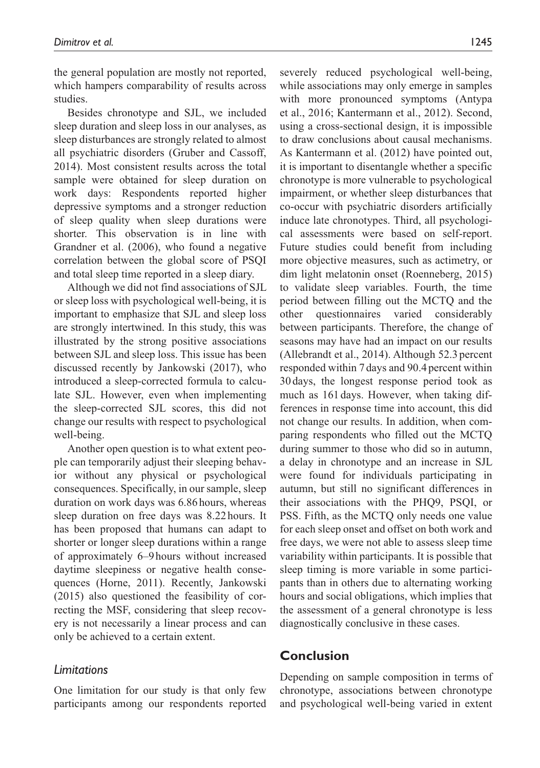the general population are mostly not reported, which hampers comparability of results across studies.

Besides chronotype and SJL, we included sleep duration and sleep loss in our analyses, as sleep disturbances are strongly related to almost all psychiatric disorders (Gruber and Cassoff, 2014). Most consistent results across the total sample were obtained for sleep duration on work days: Respondents reported higher depressive symptoms and a stronger reduction of sleep quality when sleep durations were shorter. This observation is in line with Grandner et al. (2006), who found a negative correlation between the global score of PSQI and total sleep time reported in a sleep diary.

Although we did not find associations of SJL or sleep loss with psychological well-being, it is important to emphasize that SJL and sleep loss are strongly intertwined. In this study, this was illustrated by the strong positive associations between SJL and sleep loss. This issue has been discussed recently by Jankowski (2017), who introduced a sleep-corrected formula to calculate SJL. However, even when implementing the sleep-corrected SJL scores, this did not change our results with respect to psychological well-being.

Another open question is to what extent people can temporarily adjust their sleeping behavior without any physical or psychological consequences. Specifically, in our sample, sleep duration on work days was 6.86 hours, whereas sleep duration on free days was 8.22hours. It has been proposed that humans can adapt to shorter or longer sleep durations within a range of approximately 6–9hours without increased daytime sleepiness or negative health consequences (Horne, 2011). Recently, Jankowski (2015) also questioned the feasibility of correcting the MSF, considering that sleep recovery is not necessarily a linear process and can only be achieved to a certain extent.

### *Limitations*

One limitation for our study is that only few participants among our respondents reported severely reduced psychological well-being, while associations may only emerge in samples with more pronounced symptoms (Antypa et al., 2016; Kantermann et al., 2012). Second, using a cross-sectional design, it is impossible to draw conclusions about causal mechanisms. As Kantermann et al. (2012) have pointed out, it is important to disentangle whether a specific chronotype is more vulnerable to psychological impairment, or whether sleep disturbances that co-occur with psychiatric disorders artificially induce late chronotypes. Third, all psychological assessments were based on self-report. Future studies could benefit from including more objective measures, such as actimetry, or dim light melatonin onset (Roenneberg, 2015) to validate sleep variables. Fourth, the time period between filling out the MCTQ and the other questionnaires varied considerably between participants. Therefore, the change of seasons may have had an impact on our results (Allebrandt et al., 2014). Although 52.3 percent responded within 7 days and 90.4 percent within 30days, the longest response period took as much as 161 days. However, when taking differences in response time into account, this did not change our results. In addition, when comparing respondents who filled out the MCTQ during summer to those who did so in autumn, a delay in chronotype and an increase in SJL were found for individuals participating in autumn, but still no significant differences in their associations with the PHQ9, PSQI, or PSS. Fifth, as the MCTQ only needs one value for each sleep onset and offset on both work and free days, we were not able to assess sleep time variability within participants. It is possible that sleep timing is more variable in some participants than in others due to alternating working hours and social obligations, which implies that the assessment of a general chronotype is less diagnostically conclusive in these cases.

# **Conclusion**

Depending on sample composition in terms of chronotype, associations between chronotype and psychological well-being varied in extent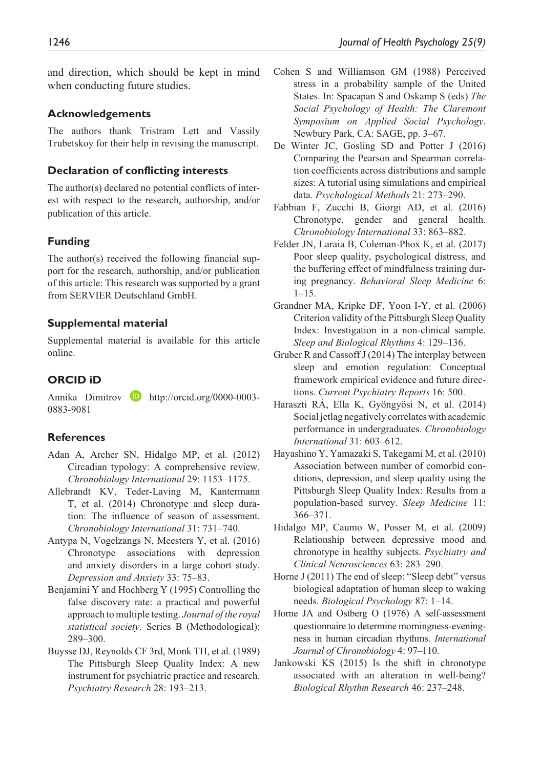and direction, which should be kept in mind when conducting future studies.

#### **Acknowledgements**

The authors thank Tristram Lett and Vassily Trubetskoy for their help in revising the manuscript.

#### **Declaration of conflicting interests**

The author(s) declared no potential conflicts of interest with respect to the research, authorship, and/or publication of this article.

### **Funding**

The author(s) received the following financial support for the research, authorship, and/or publication of this article: This research was supported by a grant from SERVIER Deutschland GmbH.

#### **Supplemental material**

Supplemental material is available for this article online.

### **ORCID iD**

Annika Dimitrov **D** [http://orcid.org/0000-0003-](http://orcid.org/0000-0003-
0883-9081) [0883-9081](http://orcid.org/0000-0003-
0883-9081)

#### **References**

- Adan A, Archer SN, Hidalgo MP, et al. (2012) Circadian typology: A comprehensive review. *Chronobiology International* 29: 1153–1175.
- Allebrandt KV, Teder-Laving M, Kantermann T, et al. (2014) Chronotype and sleep duration: The influence of season of assessment. *Chronobiology International* 31: 731–740.
- Antypa N, Vogelzangs N, Meesters Y, et al. (2016) Chronotype associations with depression and anxiety disorders in a large cohort study. *Depression and Anxiety* 33: 75–83.
- Benjamini Y and Hochberg Y (1995) Controlling the false discovery rate: a practical and powerful approach to multiple testing. *Journal of the royal statistical society*. Series B (Methodological): 289–300.
- Buysse DJ, Reynolds CF 3rd, Monk TH, et al. (1989) The Pittsburgh Sleep Quality Index: A new instrument for psychiatric practice and research. *Psychiatry Research* 28: 193–213.
- Cohen S and Williamson GM (1988) Perceived stress in a probability sample of the United States. In: Spacapan S and Oskamp S (eds) *The Social Psychology of Health: The Claremont Symposium on Applied Social Psychology*. Newbury Park, CA: SAGE, pp. 3–67.
- De Winter JC, Gosling SD and Potter J (2016) Comparing the Pearson and Spearman correlation coefficients across distributions and sample sizes: A tutorial using simulations and empirical data. *Psychological Methods* 21: 273–290.
- Fabbian F, Zucchi B, Giorgi AD, et al. (2016) Chronotype, gender and general health. *Chronobiology International* 33: 863–882.
- Felder JN, Laraia B, Coleman-Phox K, et al. (2017) Poor sleep quality, psychological distress, and the buffering effect of mindfulness training during pregnancy. *Behavioral Sleep Medicine* 6:  $1 - 15$ .
- Grandner MA, Kripke DF, Yoon I-Y, et al. (2006) Criterion validity of the Pittsburgh Sleep Quality Index: Investigation in a non-clinical sample. *Sleep and Biological Rhythms* 4: 129–136.
- Gruber R and Cassoff J (2014) The interplay between sleep and emotion regulation: Conceptual framework empirical evidence and future directions. *Current Psychiatry Reports* 16: 500.
- Haraszti RÁ, Ella K, Gyöngyösi N, et al. (2014) Social jetlag negatively correlates with academic performance in undergraduates. *Chronobiology International* 31: 603–612.
- Hayashino Y, Yamazaki S, Takegami M, et al. (2010) Association between number of comorbid conditions, depression, and sleep quality using the Pittsburgh Sleep Quality Index: Results from a population-based survey. *Sleep Medicine* 11: 366–371.
- Hidalgo MP, Caumo W, Posser M, et al. (2009) Relationship between depressive mood and chronotype in healthy subjects. *Psychiatry and Clinical Neurosciences* 63: 283–290.
- Horne J (2011) The end of sleep: "Sleep debt" versus biological adaptation of human sleep to waking needs. *Biological Psychology* 87: 1–14.
- Horne JA and Ostberg O (1976) A self-assessment questionnaire to determine morningness-eveningness in human circadian rhythms. *International Journal of Chronobiology* 4: 97–110.
- Jankowski KS (2015) Is the shift in chronotype associated with an alteration in well-being? *Biological Rhythm Research* 46: 237–248.